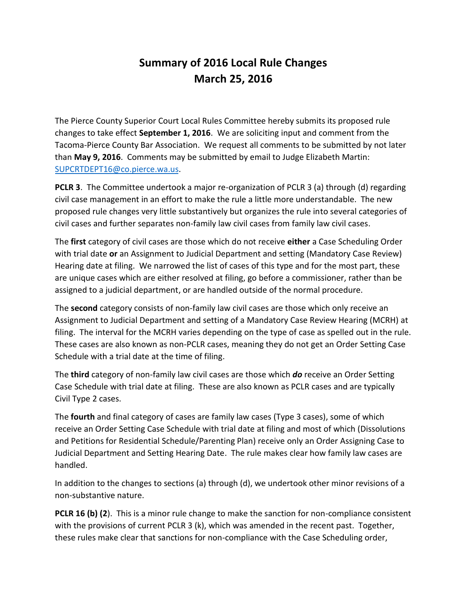# **Summary of 2016 Local Rule Changes March 25, 2016**

The Pierce County Superior Court Local Rules Committee hereby submits its proposed rule changes to take effect **September 1, 2016**. We are soliciting input and comment from the Tacoma-Pierce County Bar Association. We request all comments to be submitted by not later than **May 9, 2016**. Comments may be submitted by email to Judge Elizabeth Martin: [SUPCRTDEPT16@co.pierce.wa.us.](mailto:SUPCRTDEPT16@co.pierce.wa.us)

**PCLR 3**. The Committee undertook a major re-organization of PCLR 3 (a) through (d) regarding civil case management in an effort to make the rule a little more understandable. The new proposed rule changes very little substantively but organizes the rule into several categories of civil cases and further separates non-family law civil cases from family law civil cases.

The **first** category of civil cases are those which do not receive **either** a Case Scheduling Order with trial date **or** an Assignment to Judicial Department and setting (Mandatory Case Review) Hearing date at filing. We narrowed the list of cases of this type and for the most part, these are unique cases which are either resolved at filing, go before a commissioner, rather than be assigned to a judicial department, or are handled outside of the normal procedure.

The **second** category consists of non-family law civil cases are those which only receive an Assignment to Judicial Department and setting of a Mandatory Case Review Hearing (MCRH) at filing. The interval for the MCRH varies depending on the type of case as spelled out in the rule. These cases are also known as non-PCLR cases, meaning they do not get an Order Setting Case Schedule with a trial date at the time of filing.

The **third** category of non-family law civil cases are those which *do* receive an Order Setting Case Schedule with trial date at filing. These are also known as PCLR cases and are typically Civil Type 2 cases.

The **fourth** and final category of cases are family law cases (Type 3 cases), some of which receive an Order Setting Case Schedule with trial date at filing and most of which (Dissolutions and Petitions for Residential Schedule/Parenting Plan) receive only an Order Assigning Case to Judicial Department and Setting Hearing Date. The rule makes clear how family law cases are handled.

In addition to the changes to sections (a) through (d), we undertook other minor revisions of a non-substantive nature.

**PCLR 16 (b) (2)**. This is a minor rule change to make the sanction for non-compliance consistent with the provisions of current PCLR 3 (k), which was amended in the recent past. Together, these rules make clear that sanctions for non-compliance with the Case Scheduling order,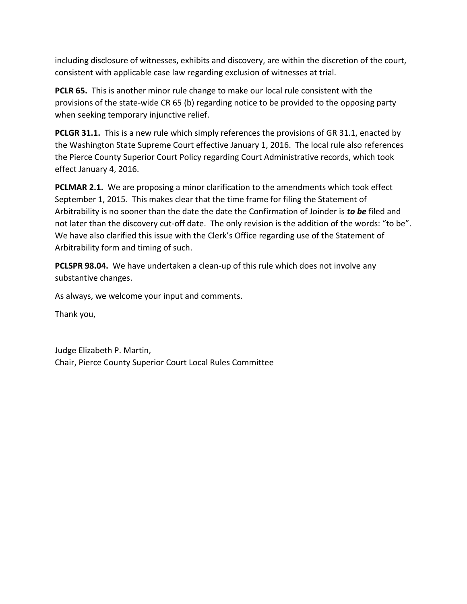including disclosure of witnesses, exhibits and discovery, are within the discretion of the court, consistent with applicable case law regarding exclusion of witnesses at trial.

**PCLR 65.** This is another minor rule change to make our local rule consistent with the provisions of the state-wide CR 65 (b) regarding notice to be provided to the opposing party when seeking temporary injunctive relief.

**PCLGR 31.1.** This is a new rule which simply references the provisions of GR 31.1, enacted by the Washington State Supreme Court effective January 1, 2016. The local rule also references the Pierce County Superior Court Policy regarding Court Administrative records, which took effect January 4, 2016.

**PCLMAR 2.1.** We are proposing a minor clarification to the amendments which took effect September 1, 2015. This makes clear that the time frame for filing the Statement of Arbitrability is no sooner than the date the date the Confirmation of Joinder is *to be* filed and not later than the discovery cut-off date. The only revision is the addition of the words: "to be". We have also clarified this issue with the Clerk's Office regarding use of the Statement of Arbitrability form and timing of such.

**PCLSPR 98.04.** We have undertaken a clean-up of this rule which does not involve any substantive changes.

As always, we welcome your input and comments.

Thank you,

Judge Elizabeth P. Martin, Chair, Pierce County Superior Court Local Rules Committee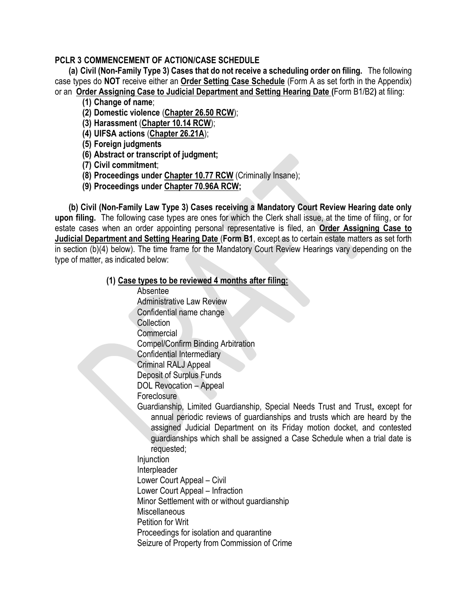#### **PCLR 3 COMMENCEMENT OF ACTION/CASE SCHEDULE**

**(a) Civil (Non-Family Type 3) Cases that do not receive a scheduling order on filing.** The following case types do **NOT** receive either an **Order Setting Case Schedule** (Form A as set forth in the Appendix) or an **Order Assigning Case to Judicial Department and Setting Hearing Date (**Form B1/B2**)** at filing:

**(1) Change of name**;

- **(2) Domestic violence** (**[Chapter 26.50 RCW](http://apps.leg.wa.gov/rcw/default.aspx?cite=26.50)**);
- **(3) Harassment** (**[Chapter 10.14 RCW](http://apps.leg.wa.gov/rcw/default.aspx?cite=10.14)**);
- **(4) UIFSA actions** (**[Chapter 26.21A](http://apps.leg.wa.gov/rcw/default.aspx?cite=26.21A)**);

**(5) Foreign judgments** 

**(6) Abstract or transcript of judgment;** 

**(7) Civil commitment**;

- **(8) Proceedings under [Chapter 10.77 RCW](http://apps.leg.wa.gov/rcw/default.aspx?cite=10.77)** (Criminally Insane);
- **(9) Proceedings under [Chapter 70.96A RCW;](http://apps.leg.wa.gov/rcw/default.aspx?cite=70.96A)**

**(b) Civil (Non-Family Law Type 3) Cases receiving a Mandatory Court Review Hearing date only upon filing.** The following case types are ones for which the Clerk shall issue, at the time of filing, or for estate cases when an order appointing personal representative is filed, an **Order Assigning Case to Judicial Department and Setting Hearing Date** (**Form B1**, except as to certain estate matters as set forth in section (b)(4) below). The time frame for the Mandatory Court Review Hearings vary depending on the type of matter, as indicated below:

#### **(1) Case types to be reviewed 4 months after filing:**

Absentee Administrative Law Review Confidential name change **Collection Commercial** Compel/Confirm Binding Arbitration Confidential Intermediary Criminal RALJ Appeal Deposit of Surplus Funds DOL Revocation – Appeal **Foreclosure** Guardianship, Limited Guardianship, Special Needs Trust and Trust**,** except for annual periodic reviews of guardianships and trusts which are heard by the assigned Judicial Department on its Friday motion docket, and contested guardianships which shall be assigned a Case Schedule when a trial date is requested; Injunction Interpleader Lower Court Appeal – Civil Lower Court Appeal – Infraction Minor Settlement with or without guardianship **Miscellaneous** Petition for Writ Proceedings for isolation and quarantine Seizure of Property from Commission of Crime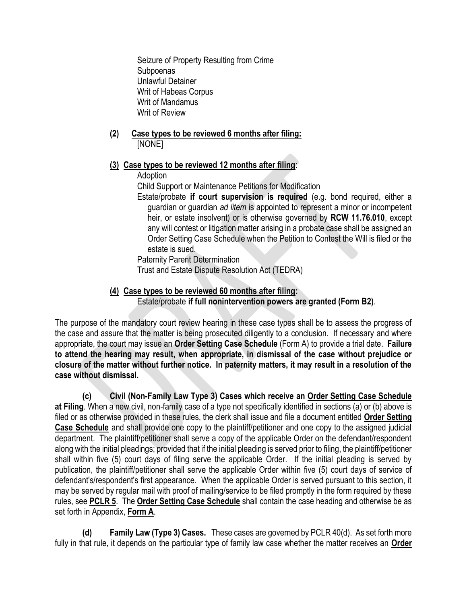Seizure of Property Resulting from Crime **Subpoenas** Unlawful Detainer Writ of Habeas Corpus Writ of Mandamus Writ of Review

#### **(2) Case types to be reviewed 6 months after filing:**  [NONE]

## **(3) Case types to be reviewed 12 months after filing**:

## Adoption

Child Support or Maintenance Petitions for Modification

Estate/probate **if court supervision is required** (e.g. bond required, either a guardian or guardian *ad litem* is appointed to represent a minor or incompetent heir, or estate insolvent) or is otherwise governed by **[RCW 11.76.010](http://apps.leg.wa.gov/rcw/default.aspx?cite=11.76.010)**, except any will contest or litigation matter arising in a probate case shall be assigned an Order Setting Case Schedule when the Petition to Contest the Will is filed or the estate is sued.

Paternity Parent Determination Trust and Estate Dispute Resolution Act (TEDRA)

# **(4) Case types to be reviewed 60 months after filing:**

Estate/probate **if full nonintervention powers are granted (Form B2)**.

The purpose of the mandatory court review hearing in these case types shall be to assess the progress of the case and assure that the matter is being prosecuted diligently to a conclusion. If necessary and where appropriate, the court may issue an **Order Setting Case Schedule** (Form A) to provide a trial date. **Failure to attend the hearing may result, when appropriate, in dismissal of the case without prejudice or closure of the matter without further notice. In paternity matters, it may result in a resolution of the case without dismissal.** 

**(c) Civil (Non-Family Law Type 3) Cases which receive an Order Setting Case Schedule at Filing**. When a new civil, non-family case of a type not specifically identified in sections (a) or (b) above is filed or as otherwise provided in these rules, the clerk shall issue and file a document entitled **Order Setting Case Schedule** and shall provide one copy to the plaintiff/petitioner and one copy to the assigned judicial department. The plaintiff/petitioner shall serve a copy of the applicable Order on the defendant/respondent along with the initial pleadings; provided that if the initial pleading is served prior to filing, the plaintiff/petitioner shall within five (5) court days of filing serve the applicable Order. If the initial pleading is served by publication, the plaintiff/petitioner shall serve the applicable Order within five (5) court days of service of defendant's/respondent's first appearance. When the applicable Order is served pursuant to this section, it may be served by regular mail with proof of mailing/service to be filed promptly in the form required by these rules, see **PCLR 5**. The **Order Setting Case Schedule** shall contain the case heading and otherwise be as set forth in Appendix, **Form A**.

**(d) Family Law (Type 3) Cases.** These cases are governed by PCLR 40(d).As set forth more fully in that rule, it depends on the particular type of family law case whether the matter receives an **Order**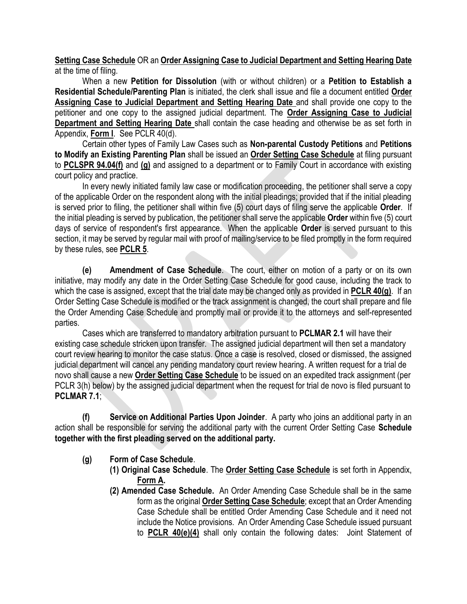#### **Setting Case Schedule** OR an **Order Assigning Case to Judicial Department and Setting Hearing Date**  at the time of filing.

When a new **Petition for Dissolution** (with or without children) or a **Petition to Establish a Residential Schedule/Parenting Plan** is initiated, the clerk shall issue and file a document entitled **Order Assigning Case to Judicial Department and Setting Hearing Date** and shall provide one copy to the petitioner and one copy to the assigned judicial department. The **Order Assigning Case to Judicial Department and Setting Hearing Date** shall contain the case heading and otherwise be as set forth in Appendix, **Form I**. See PCLR 40(d).

Certain other types of Family Law Cases such as **Non-parental Custody Petitions** and **Petitions to Modify an Existing Parenting Plan** shall be issued an **Order Setting Case Schedule** at filing pursuant to **PCLSPR 94.04(f)** and **(g)** and assigned to a department or to Family Court in accordance with existing court policy and practice.

In every newly initiated family law case or modification proceeding, the petitioner shall serve a copy of the applicable Order on the respondent along with the initial pleadings; provided that if the initial pleading is served prior to filing, the petitioner shall within five (5) court days of filing serve the applicable **Order**. If the initial pleading is served by publication, the petitioner shall serve the applicable **Order** within five (5) court days of service of respondent's first appearance. When the applicable **Order** is served pursuant to this section, it may be served by regular mail with proof of mailing/service to be filed promptly in the form required by these rules, see **PCLR 5**.

**(e) Amendment of Case Schedule**. The court, either on motion of a party or on its own initiative, may modify any date in the Order Setting Case Schedule for good cause, including the track to which the case is assigned, except that the trial date may be changed only as provided in **PCLR 40(g)**. If an Order Setting Case Schedule is modified or the track assignment is changed, the court shall prepare and file the Order Amending Case Schedule and promptly mail or provide it to the attorneys and self-represented parties.

Cases which are transferred to mandatory arbitration pursuant to **PCLMAR 2.1** will have their existing case schedule stricken upon transfer. The assigned judicial department will then set a mandatory court review hearing to monitor the case status. Once a case is resolved, closed or dismissed, the assigned judicial department will cancel any pending mandatory court review hearing. A written request for a trial de novo shall cause a new **Order Setting Case Schedule** to be issued on an expedited track assignment (per PCLR 3(h) below) by the assigned judicial department when the request for trial de novo is filed pursuant to **PCLMAR 7.1**;

**(f) Service on Additional Parties Upon Joinder**. A party who joins an additional party in an action shall be responsible for serving the additional party with the current Order Setting Case **Schedule together with the first pleading served on the additional party.**

- **(g) Form of Case Schedule**.
	- **(1) Original Case Schedule**. The **Order Setting Case Schedule** is set forth in Appendix, **Form A.**
	- **(2) Amended Case Schedule.** An Order Amending Case Schedule shall be in the same form as the original **Order Setting Case Schedule**; except that an Order Amending Case Schedule shall be entitled Order Amending Case Schedule and it need not include the Notice provisions. An Order Amending Case Schedule issued pursuant to **PCLR 40(e)(4)** shall only contain the following dates: Joint Statement of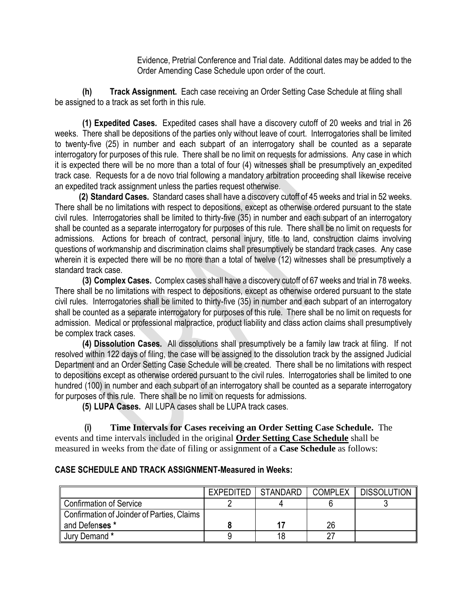Evidence, Pretrial Conference and Trial date. Additional dates may be added to the Order Amending Case Schedule upon order of the court.

**(h) Track Assignment.** Each case receiving an Order Setting Case Schedule at filing shall be assigned to a track as set forth in this rule.

**(1) Expedited Cases.** Expedited cases shall have a discovery cutoff of 20 weeks and trial in 26 weeks. There shall be depositions of the parties only without leave of court. Interrogatories shall be limited to twenty-five (25) in number and each subpart of an interrogatory shall be counted as a separate interrogatory for purposes of this rule. There shall be no limit on requests for admissions. Any case in which it is expected there will be no more than a total of four (4) witnesses shall be presumptively an expedited track case. Requests for a de novo trial following a mandatory arbitration proceeding shall likewise receive an expedited track assignment unless the parties request otherwise.

**(2) Standard Cases.** Standard cases shall have a discovery cutoff of 45 weeks and trial in 52 weeks. There shall be no limitations with respect to depositions, except as otherwise ordered pursuant to the state civil rules. Interrogatories shall be limited to thirty-five (35) in number and each subpart of an interrogatory shall be counted as a separate interrogatory for purposes of this rule. There shall be no limit on requests for admissions. Actions for breach of contract, personal injury, title to land, construction claims involving questions of workmanship and discrimination claims shall presumptively be standard track cases. Any case wherein it is expected there will be no more than a total of twelve (12) witnesses shall be presumptively a standard track case.

**(3) Complex Cases.** Complex cases shall have a discovery cutoff of 67 weeks and trial in 78 weeks. There shall be no limitations with respect to depositions, except as otherwise ordered pursuant to the state civil rules. Interrogatories shall be limited to thirty-five (35) in number and each subpart of an interrogatory shall be counted as a separate interrogatory for purposes of this rule. There shall be no limit on requests for admission. Medical or professional malpractice, product liability and class action claims shall presumptively be complex track cases.

**(4) Dissolution Cases.** All dissolutions shall presumptively be a family law track at filing. If not resolved within 122 days of filing, the case will be assigned to the dissolution track by the assigned Judicial Department and an Order Setting Case Schedule will be created. There shall be no limitations with respect to depositions except as otherwise ordered pursuant to the civil rules. Interrogatories shall be limited to one hundred (100) in number and each subpart of an interrogatory shall be counted as a separate interrogatory for purposes of this rule. There shall be no limit on requests for admissions.

**(5) LUPA Cases.** All LUPA cases shall be LUPA track cases.

 **(i) Time Intervals for Cases receiving an Order Setting Case Schedule.** The events and time intervals included in the original **Order Setting Case Schedule** shall be measured in weeks from the date of filing or assignment of a **Case Schedule** as follows:

|                                            | EXPEDITED | STANDARD | COMPLEX | <b>DISSOLUTION</b> |
|--------------------------------------------|-----------|----------|---------|--------------------|
| Confirmation of Service                    |           |          |         |                    |
| Confirmation of Joinder of Parties, Claims |           |          |         |                    |
| and Defenses *                             |           |          | 26      |                    |
| Jury Demand*                               |           |          |         |                    |

#### **CASE SCHEDULE AND TRACK ASSIGNMENT-Measured in Weeks:**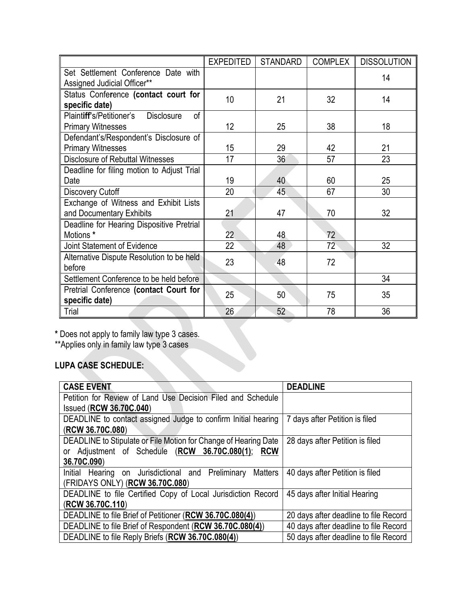|                                                                          | <b>EXPEDITED</b> | <b>STANDARD</b> | <b>COMPLEX</b> | <b>DISSOLUTION</b> |
|--------------------------------------------------------------------------|------------------|-----------------|----------------|--------------------|
| Set Settlement Conference Date with<br>Assigned Judicial Officer**       |                  |                 |                | 14                 |
| Status Conference (contact court for<br>specific date)                   | 10               | 21              | 32             | 14                 |
| Plaintiff's/Petitioner's<br>Disclosure<br>of<br><b>Primary Witnesses</b> | 12 <sup>2</sup>  | 25              | 38             | 18                 |
| Defendant's/Respondent's Disclosure of<br><b>Primary Witnesses</b>       | 15               | 29              | 42             | 21                 |
| Disclosure of Rebuttal Witnesses                                         | 17               | 36              | 57             | 23                 |
| Deadline for filing motion to Adjust Trial                               |                  |                 |                |                    |
| Date                                                                     | 19               | 40              | 60             | 25                 |
| <b>Discovery Cutoff</b>                                                  | 20               | 45              | 67             | 30                 |
| Exchange of Witness and Exhibit Lists                                    |                  |                 |                |                    |
| and Documentary Exhibits                                                 | 21               | 47              | 70             | 32                 |
| Deadline for Hearing Dispositive Pretrial<br>Motions <sup>*</sup>        | 22               | 48              | 72             |                    |
| Joint Statement of Evidence                                              | 22               | 48              | 72             | 32                 |
| Alternative Dispute Resolution to be held<br>before                      | 23               | 48              | 72             |                    |
| Settlement Conference to be held before                                  |                  |                 |                | 34                 |
| Pretrial Conference (contact Court for<br>specific date)                 | 25               | 50              | 75             | 35                 |
| Trial                                                                    | 26               | 52              | 78             | 36                 |

**\*** Does not apply to family law type 3 cases.

\*\*Applies only in family law type 3 cases

# **LUPA CASE SCHEDULE:**

| <b>CASE EVENT</b>                                               | <b>DEADLINE</b>                       |
|-----------------------------------------------------------------|---------------------------------------|
| Petition for Review of Land Use Decision Filed and Schedule     |                                       |
| Issued (RCW 36.70C.040)                                         |                                       |
| DEADLINE to contact assigned Judge to confirm Initial hearing   | 7 days after Petition is filed        |
| (RCW 36.70C.080)                                                |                                       |
| DEADLINE to Stipulate or File Motion for Change of Hearing Date | 28 days after Petition is filed       |
| Adjustment of Schedule (RCW 36.70C.080(1);<br><b>RCW</b><br>or  |                                       |
| 36.70C.090)                                                     |                                       |
| Initial Hearing on Jurisdictional and Preliminary<br>Matters    | 40 days after Petition is filed       |
| (FRIDAYS ONLY) (RCW 36.70C.080)                                 |                                       |
| DEADLINE to file Certified Copy of Local Jurisdiction Record    | 45 days after Initial Hearing         |
| (RCW 36.70C.110)                                                |                                       |
| DEADLINE to file Brief of Petitioner (RCW 36.70C.080(4))        | 20 days after deadline to file Record |
| DEADLINE to file Brief of Respondent (RCW 36.70C.080(4))        | 40 days after deadline to file Record |
| DEADLINE to file Reply Briefs (RCW 36.70C.080(4))               | 50 days after deadline to file Record |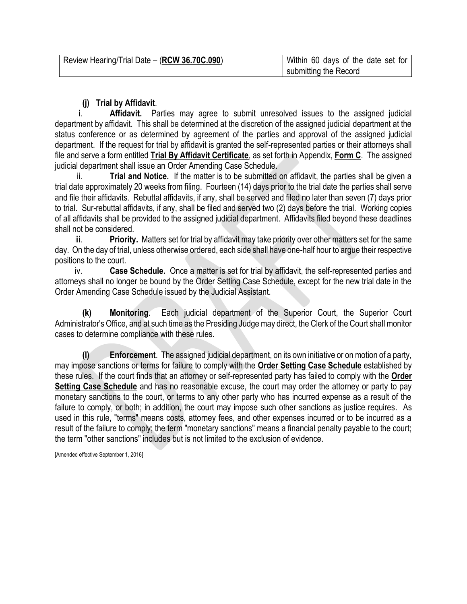| Review Hearing/Trial Date $-$ (RCW 36.70C.090) | Within 60 days of the date set for |  |
|------------------------------------------------|------------------------------------|--|
|                                                | submitting the Record              |  |

### **(j) Trial by Affidavit**.

i. **Affidavit.** Parties may agree to submit unresolved issues to the assigned judicial department by affidavit. This shall be determined at the discretion of the assigned judicial department at the status conference or as determined by agreement of the parties and approval of the assigned judicial department. If the request for trial by affidavit is granted the self-represented parties or their attorneys shall file and serve a form entitled **Trial By Affidavit Certificate**, as set forth in Appendix, **Form C**. The assigned judicial department shall issue an Order Amending Case Schedule.

ii. **Trial and Notice.** If the matter is to be submitted on affidavit, the parties shall be given a trial date approximately 20 weeks from filing. Fourteen (14) days prior to the trial date the parties shall serve and file their affidavits. Rebuttal affidavits, if any, shall be served and filed no later than seven (7) days prior to trial. Sur-rebuttal affidavits, if any, shall be filed and served two (2) days before the trial. Working copies of all affidavits shall be provided to the assigned judicial department. Affidavits filed beyond these deadlines shall not be considered.

iii. **Priority.** Matters set for trial by affidavit may take priority over other matters set for the same day. On the day of trial, unless otherwise ordered, each side shall have one-half hour to argue their respective positions to the court.

iv. **Case Schedule.** Once a matter is set for trial by affidavit, the self-represented parties and attorneys shall no longer be bound by the Order Setting Case Schedule, except for the new trial date in the Order Amending Case Schedule issued by the Judicial Assistant.

**(k) Monitoring**. Each judicial department of the Superior Court, the Superior Court Administrator's Office, and at such time as the Presiding Judge may direct, the Clerk of the Court shall monitor cases to determine compliance with these rules.

**(l) Enforcement**. The assigned judicial department, on its own initiative or on motion of a party, may impose sanctions or terms for failure to comply with the **Order Setting Case Schedule** established by these rules. If the court finds that an attorney or self-represented party has failed to comply with the **Order Setting Case Schedule** and has no reasonable excuse, the court may order the attorney or party to pay monetary sanctions to the court, or terms to any other party who has incurred expense as a result of the failure to comply, or both; in addition, the court may impose such other sanctions as justice requires. As used in this rule, "terms" means costs, attorney fees, and other expenses incurred or to be incurred as a result of the failure to comply; the term "monetary sanctions" means a financial penalty payable to the court; the term "other sanctions" includes but is not limited to the exclusion of evidence.

[Amended effective September 1, 2016]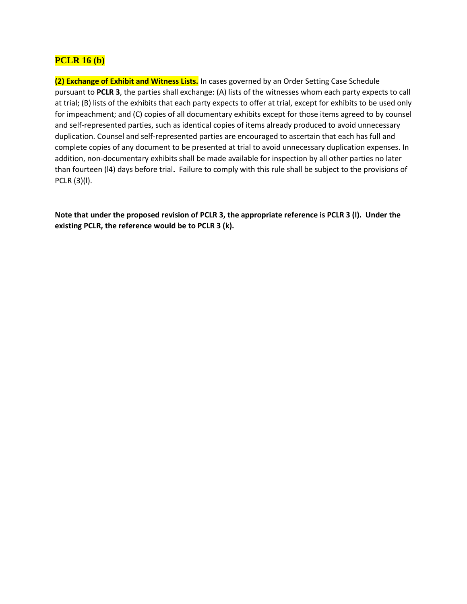#### **PCLR 16 (b)**

**(2) Exchange of Exhibit and Witness Lists.** In cases governed by an Order Setting Case Schedule pursuant to **PCLR 3**, the parties shall exchange: (A) lists of the witnesses whom each party expects to call at trial; (B) lists of the exhibits that each party expects to offer at trial, except for exhibits to be used only for impeachment; and (C) copies of all documentary exhibits except for those items agreed to by counsel and self-represented parties, such as identical copies of items already produced to avoid unnecessary duplication. Counsel and self-represented parties are encouraged to ascertain that each has full and complete copies of any document to be presented at trial to avoid unnecessary duplication expenses. In addition, non-documentary exhibits shall be made available for inspection by all other parties no later than fourteen (l4) days before trial**.** Failure to comply with this rule shall be subject to the provisions of PCLR (3)(l).

**Note that under the proposed revision of PCLR 3, the appropriate reference is PCLR 3 (l). Under the existing PCLR, the reference would be to PCLR 3 (k).**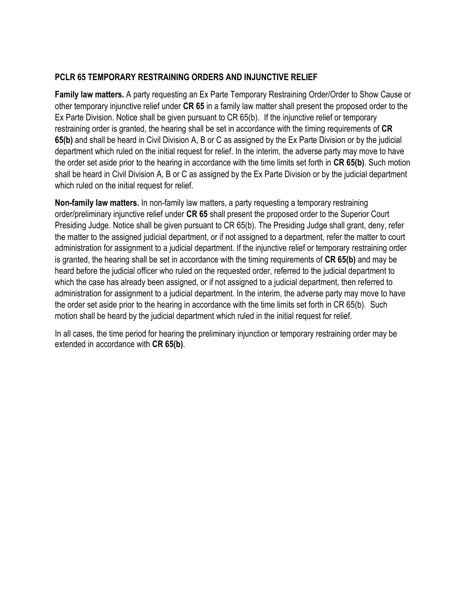#### **PCLR 65 TEMPORARY RESTRAINING ORDERS AND INJUNCTIVE RELIEF**

**Family law matters.** A party requesting an Ex Parte Temporary Restraining Order/Order to Show Cause or other temporary injunctive relief under **CR 65** in a family law matter shall present the proposed order to the Ex Parte Division. Notice shall be given pursuant to CR 65(b). If the injunctive relief or temporary restraining order is granted, the hearing shall be set in accordance with the timing requirements of **CR 65(b)** and shall be heard in Civil Division A, B or C as assigned by the Ex Parte Division or by the judicial department which ruled on the initial request for relief. In the interim, the adverse party may move to have the order set aside prior to the hearing in accordance with the time limits set forth in **CR 65(b)**. Such motion shall be heard in Civil Division A, B or C as assigned by the Ex Parte Division or by the judicial department which ruled on the initial request for relief.

**Non-family law matters.** In non-family law matters, a party requesting a temporary restraining order/preliminary injunctive relief under **CR 65** shall present the proposed order to the Superior Court Presiding Judge. Notice shall be given pursuant to CR 65(b). The Presiding Judge shall grant, deny, refer the matter to the assigned judicial department, or if not assigned to a department, refer the matter to court administration for assignment to a judicial department. If the injunctive relief or temporary restraining order is granted, the hearing shall be set in accordance with the timing requirements of **CR 65(b)** and may be heard before the judicial officer who ruled on the requested order, referred to the judicial department to which the case has already been assigned, or if not assigned to a judicial department, then referred to administration for assignment to a judicial department. In the interim, the adverse party may move to have the order set aside prior to the hearing in accordance with the time limits set forth in CR 65(b). Such motion shall be heard by the judicial department which ruled in the initial request for relief.

In all cases, the time period for hearing the preliminary injunction or temporary restraining order may be extended in accordance with **CR 65(b)**.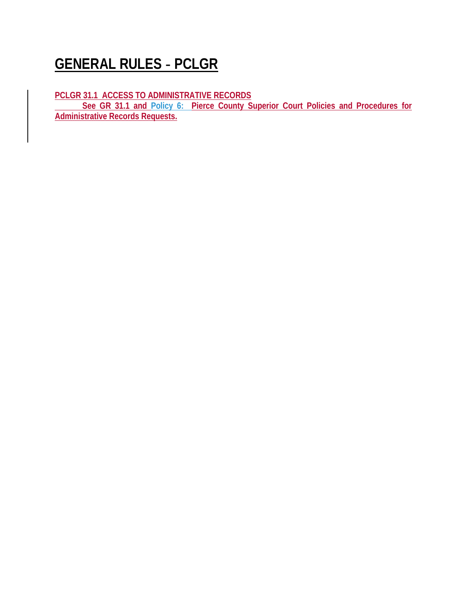# **GENERAL RULES - PCLGR**

# **PCLGR 31.1 ACCESS TO ADMINISTRATIVE RECORDS**

**See [GR 31.1](http://www.courts.wa.gov/court_rules/?fa=court_rules.list&group=ga&set=GR) and Policy 6: Pierce County Superior Court Policies and Procedures for Administrative Records Requests.**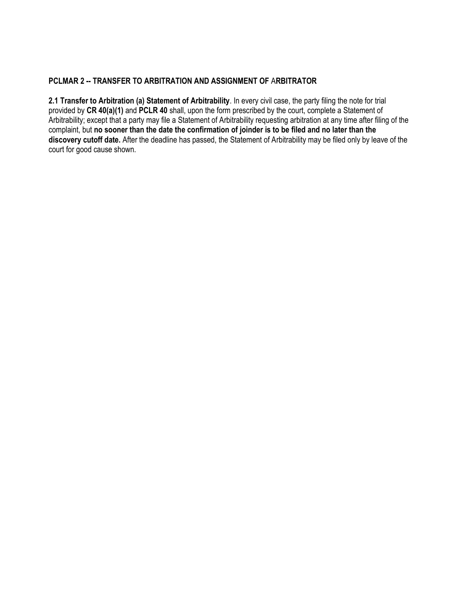#### **PCLMAR 2 -- TRANSFER TO ARBITRATION AND ASSIGNMENT OF** A**RBITRATOR**

**2.1 Transfer to Arbitration (a) Statement of Arbitrability**. In every civil case, the party filing the note for trial provided by **CR 40(a)(1)** and **PCLR 40** shall, upon the form prescribed by the court, complete a Statement of Arbitrability; except that a party may file a Statement of Arbitrability requesting arbitration at any time after filing of the complaint, but **no sooner than the date the confirmation of joinder is to be filed and no later than the discovery cutoff date.** After the deadline has passed, the Statement of Arbitrability may be filed only by leave of the court for good cause shown.